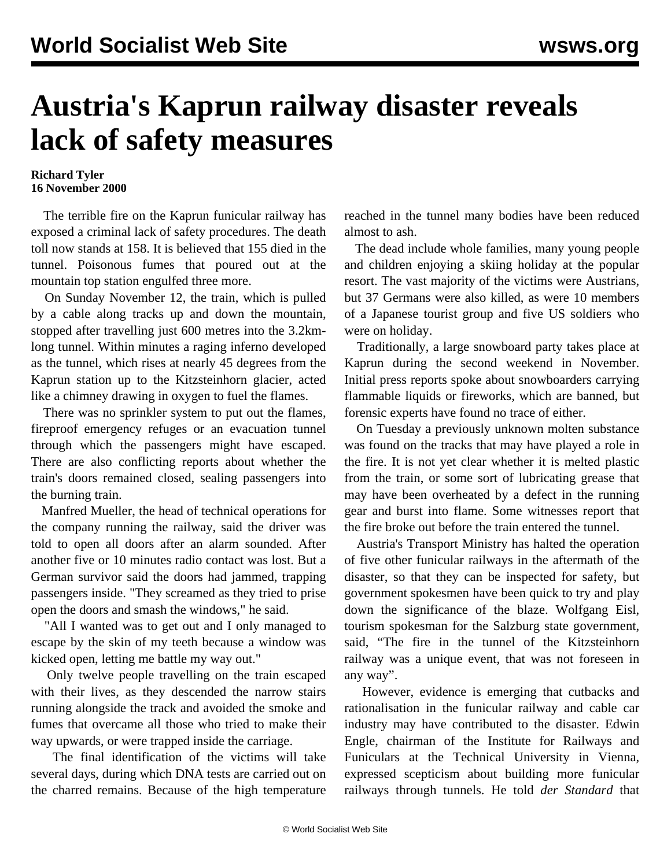## **Austria's Kaprun railway disaster reveals lack of safety measures**

## **Richard Tyler 16 November 2000**

 The terrible fire on the Kaprun funicular railway has exposed a criminal lack of safety procedures. The death toll now stands at 158. It is believed that 155 died in the tunnel. Poisonous fumes that poured out at the mountain top station engulfed three more.

 On Sunday November 12, the train, which is pulled by a cable along tracks up and down the mountain, stopped after travelling just 600 metres into the 3.2kmlong tunnel. Within minutes a raging inferno developed as the tunnel, which rises at nearly 45 degrees from the Kaprun station up to the Kitzsteinhorn glacier, acted like a chimney drawing in oxygen to fuel the flames.

 There was no sprinkler system to put out the flames, fireproof emergency refuges or an evacuation tunnel through which the passengers might have escaped. There are also conflicting reports about whether the train's doors remained closed, sealing passengers into the burning train.

 Manfred Mueller, the head of technical operations for the company running the railway, said the driver was told to open all doors after an alarm sounded. After another five or 10 minutes radio contact was lost. But a German survivor said the doors had jammed, trapping passengers inside. "They screamed as they tried to prise open the doors and smash the windows," he said.

 "All I wanted was to get out and I only managed to escape by the skin of my teeth because a window was kicked open, letting me battle my way out."

 Only twelve people travelling on the train escaped with their lives, as they descended the narrow stairs running alongside the track and avoided the smoke and fumes that overcame all those who tried to make their way upwards, or were trapped inside the carriage.

 The final identification of the victims will take several days, during which DNA tests are carried out on the charred remains. Because of the high temperature reached in the tunnel many bodies have been reduced almost to ash.

 The dead include whole families, many young people and children enjoying a skiing holiday at the popular resort. The vast majority of the victims were Austrians, but 37 Germans were also killed, as were 10 members of a Japanese tourist group and five US soldiers who were on holiday.

 Traditionally, a large snowboard party takes place at Kaprun during the second weekend in November. Initial press reports spoke about snowboarders carrying flammable liquids or fireworks, which are banned, but forensic experts have found no trace of either.

 On Tuesday a previously unknown molten substance was found on the tracks that may have played a role in the fire. It is not yet clear whether it is melted plastic from the train, or some sort of lubricating grease that may have been overheated by a defect in the running gear and burst into flame. Some witnesses report that the fire broke out before the train entered the tunnel.

 Austria's Transport Ministry has halted the operation of five other funicular railways in the aftermath of the disaster, so that they can be inspected for safety, but government spokesmen have been quick to try and play down the significance of the blaze. Wolfgang Eisl, tourism spokesman for the Salzburg state government, said, "The fire in the tunnel of the Kitzsteinhorn railway was a unique event, that was not foreseen in any way".

 However, evidence is emerging that cutbacks and rationalisation in the funicular railway and cable car industry may have contributed to the disaster. Edwin Engle, chairman of the Institute for Railways and Funiculars at the Technical University in Vienna, expressed scepticism about building more funicular railways through tunnels. He told *der Standard* that